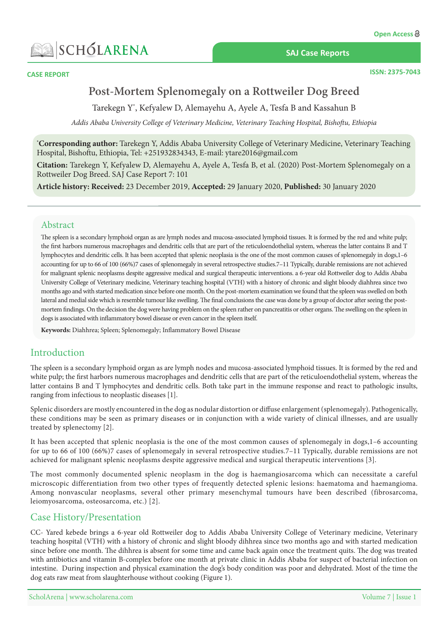

**CASE REPORT** 

**SAJ Case Reports** 

**ISSN: 2375-7043** 

# Post-Mortem Splenomegaly on a Rottweiler Dog Breed

Tarekegn Y\*, Kefyalew D, Alemayehu A, Ayele A, Tesfa B and Kassahun B

Addis Ababa University College of Veterinary Medicine, Veterinary Teaching Hospital, Bishoftu, Ethiopia

\*Corresponding author: Tarekegn Y, Addis Ababa University College of Veterinary Medicine, Veterinary Teaching Hospital, Bishoftu, Ethiopia, Tel: +251932834343, E-mail: ytare2016@gmail.com

**Citation:** Tarekegn Y, Kefyalew D, Alemayehu A, Ayele A, Tesfa B, et al. (2020) Post-Mortem Splenomegaly on a Rottweiler Dog Breed. SAJ Case Report 7: 101

Article history: Received: 23 December 2019, Accepted: 29 January 2020, Published: 30 January 2020

## Abstract

The spleen is a secondary lymphoid organ as are lymph nodes and mucosa-associated lymphoid tissues. It is formed by the red and white pulp; the first harbors numerous macrophages and dendritic cells that are part of the reticuloendothelial system, whereas the latter contains B and T lymphocytes and dendritic cells. It has been accepted that splenic neoplasia is the one of the most common causes of splenomegaly in dogs,1-6 accounting for up to 66 of 100 (66%)7 cases of splenomegaly in several retrospective studies 7-11 Typically, durable remissions are not achieved for malignant splenic neoplasms despite aggressive medical and surgical therapeutic interventions. a 6-year old Rottweiler dog to Addis Ababa University College of Veterinary medicine, Veterinary teaching hospital (VTH) with a history of chronic and slight bloody diahhrea since two months ago and with started medication since before one month. On the post-mortem examination we found that the spleen was swelled on both mortem findings. On the decision the dog were having problem on the spleen rather on pancreatitis or other organs. The swelling on the spleen in lateral and medial side which is resemble tumour like swelling. The final conclusions the case was done by a group of doctor after seeing the postdogs is associated with inflammatory bowel disease or even cancer in the spleen itself.

Keywords: Diahhrea; Spleen; Splenomegaly; Inflammatory Bowel Disease

# Introduction

The spleen is a secondary lymphoid organ as are lymph nodes and mucosa-associated lymphoid tissues. It is formed by the red and white pulp; the first harbors numerous macrophages and dendritic cells that are part of the reticuloendothelial system, whereas the latter contains B and T lymphocytes and dendritic cells. Both take part in the immune response and react to pathologic insults, ranging from infectious to neoplastic diseases [1].

Splenic disorders are mostly encountered in the dog as nodular distortion or diffuse enlargement (splenomegaly). Pathogenically, these conditions may be seen as primary diseases or in conjunction with a wide variety of clinical illnesses, and are usually treated by splenectomy [2].

It has been accepted that splenic neoplasia is the one of the most common causes of splenomegaly in dogs, 1–6 accounting for up to 66 of 100 (66%)7 cases of splenomegaly in several retrospective studies  $7-11$  Typically, durable remissions are not achieved for malignant splenic neoplasms despite aggressive medical and surgical therapeutic interventions [3].

The most commonly documented splenic neoplasm in the dog is haemangiosarcoma which can necessitate a careful microscopic differentiation from two other types of frequently detected splenic lesions: haematoma and haemangioma. Among nonvascular neoplasms, several other primary mesenchymal tumours have been described (fibrosarcoma, leiomyosarcoma, osteosarcoma, etc.) [2].

# **Case History/Presentation**

CC- Yared kebede brings a 6-year old Rottweiler dog to Addis Ababa University College of Veterinary medicine, Veterinary teaching hospital (VTH) with a history of chronic and slight bloody dihhrea since two months ago and with started medication since before one month. The dihhrea is absent for some time and came back again once the treatment quits. The dog was treated with antibiotics and vitamin B-complex before one month at private clinic in Addis Ababa for suspect of bacterial infection on intestine. During inspection and physical examination the dog's body condition was poor and dehydrated. Most of the time the dog eats raw meat from slaughterhouse without cooking (Figure 1).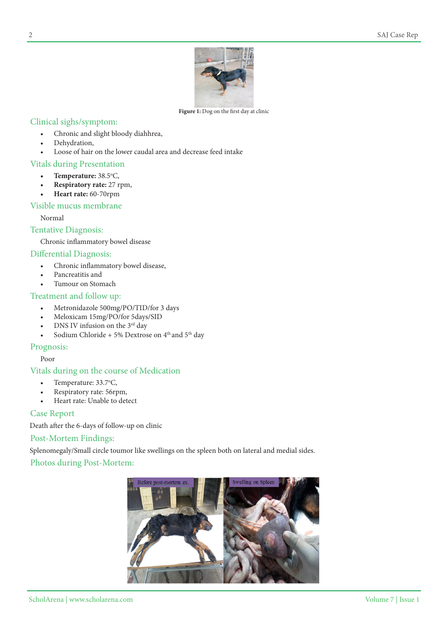

Figure 1: Dog on the first day at clinic

# Clinical sighs/symptom:

- Chronic and slight bloody diahhrea,
- Dehydration,
- Loose of hair on the lower caudal area and decrease feed intake

# Vitals during Presentation

- Temperature: 38.5°C,
- **Respiratory** rate: 27 rpm,
- **Heart rate:** 60-70 rpm

## Visible mucus membrane

Normal

## Tentative Diagnosis:

Chronic inflammatory bowel disease

# Differential Diagnosis:

- Chronic inflammatory bowel disease,
- Pancreatitis and
- Tumour on Stomach

# Treatment and follow up:

- Metronidazole 500mg/PO/TID/for 3 days
- Meloxicam 15mg/PO/for 5days/SID
- DNS IV infusion on the 3<sup>rd</sup> day
- Sodium Chloride + 5% Dextrose on  $4<sup>th</sup>$  and  $5<sup>th</sup>$  day

## Prognosis:

Poor

## Vitals during on the course of Medication

- Temperature:  $33.7$ °C,
- Respiratory rate: 56rpm,
- Heart rate: Unable to detect

## **Case Report**

Death after the 6-days of follow-up on clinic

## Post-Mortem Findings:

Splenomegaly/Small circle toumor like swellings on the spleen both on lateral and medial sides.

# Photos during Post-Mortem:

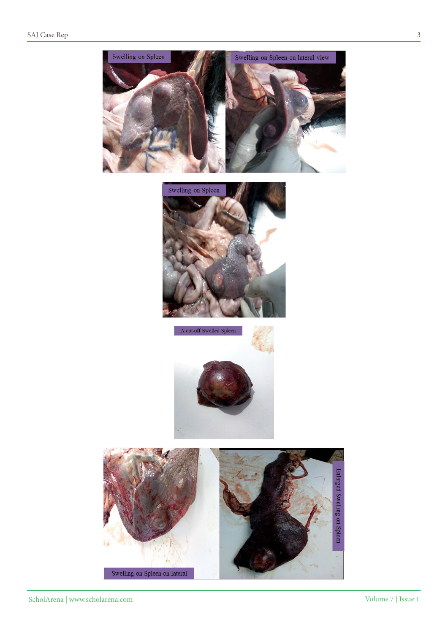